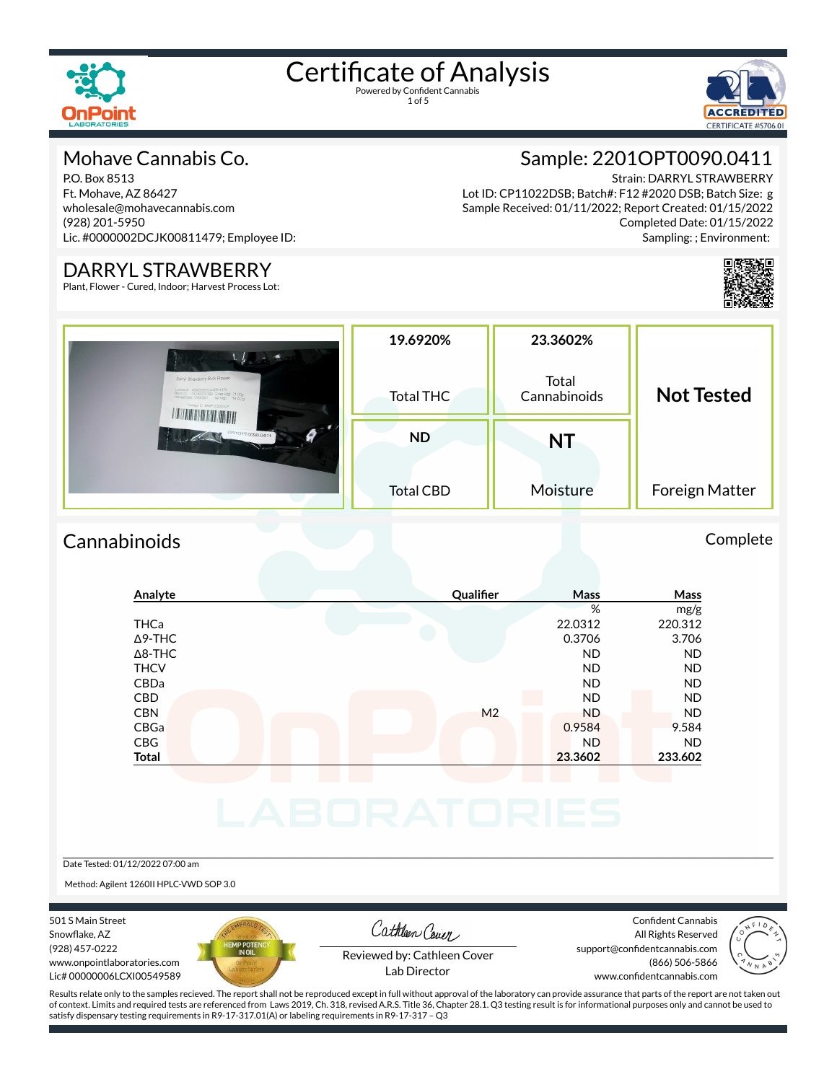

1 of 5



#### Mohave Cannabis Co.

P.O. Box 8513 Ft. Mohave, AZ 86427 wholesale@mohavecannabis.com (928) 201-5950 Lic. #0000002DCJK00811479; Employee ID:

#### DARRYL STRAWBERRY

Plant, Flower - Cured, Indoor; Harvest Process Lot:

#### Sample: 2201OPT0090.0411

Strain: DARRYL STRAWBERRY Lot ID: CP11022DSB; Batch#: F12 #2020 DSB; Batch Size: g Sample Received: 01/11/2022; Report Created: 01/15/2022 Completed Date: 01/15/2022 Sampling: ; Environment:



|                                                                                                                                       | 19.6920%         | 23.3602%              |                   |  |
|---------------------------------------------------------------------------------------------------------------------------------------|------------------|-----------------------|-------------------|--|
| Darryl Strawberry Bulk Flower<br>License # 00000032DCJK00811479<br>Batch ID F12 #2020 DSB Gross Wigt 21.00g<br>Package C SAMPLE2020CP | <b>Total THC</b> | Total<br>Cannabinoids | <b>Not Tested</b> |  |
| 22010PT0090.0411<br>Ø                                                                                                                 | <b>ND</b>        | NT                    |                   |  |
|                                                                                                                                       | <b>Total CBD</b> | Moisture              | Foreign Matter    |  |

#### Cannabinoids Complete

#### **Analyte Qualier Mass Mass** % mg/g THCa 22.0312 220.312  $\Delta$ 9-THC 3.706 3.706 Δ8-THC ND ND THCV ND ND CBDa ND ND CBD A RESIDENCE OF A RESIDENCE OF A RESIDENCE OF A RESIDENCE OF A RESIDENCE OF A RESIDENCE OF A RESIDENCE OF A CBN M2 ND ND ND ND CBGa 0.9584 9.584 CBG ND ND **Total 23.3602 233.602** Date Tested: 01/12/2022 07:00 am

Method: Agilent 1260II HPLC-VWD SOP 3.0

501 S Main Street Snowflake, AZ (928) 457-0222 www.onpointlaboratories.com Lic# 00000006LCXI00549589



Cathleen Cover

Confident Cannabis All Rights Reserved support@confidentcannabis.com



Reviewed by: Cathleen Cover Lab Director

www.confidentcannabis.com

(866) 506-5866

Results relate only to the samples recieved. The report shall not be reproduced except in full without approval of the laboratory can provide assurance that parts of the report are not taken out of context. Limits and required tests are referenced from Laws 2019, Ch. 318, revised A.R.S. Title 36, Chapter 28.1. Q3 testing result is for informational purposes only and cannot be used to satisfy dispensary testing requirements in R9-17-317.01(A) or labeling requirements in R9-17-317 – Q3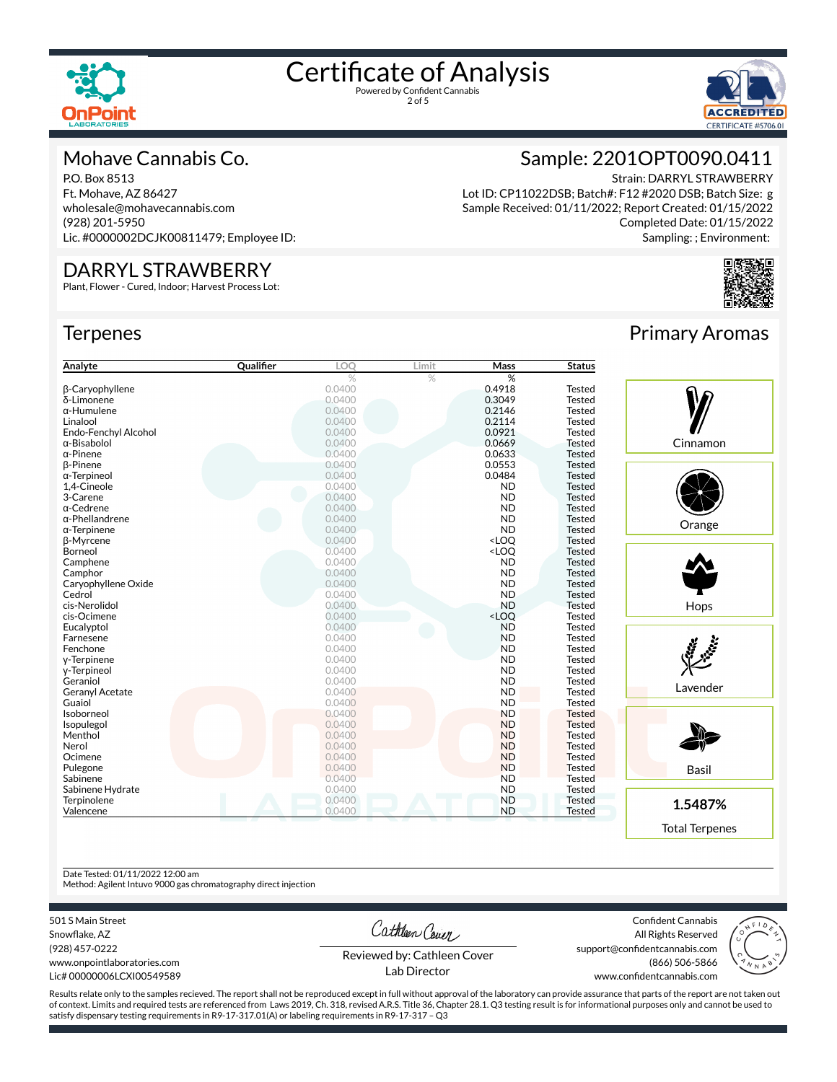

2 of 5



#### Mohave Cannabis Co.

P.O. Box 8513 Ft. Mohave, AZ 86427 wholesale@mohavecannabis.com (928) 201-5950 Lic. #0000002DCJK00811479; Employee ID:

#### DARRYL STRAWBERRY

Plant, Flower - Cured, Indoor; Harvest Process Lot:

#### **Terpenes**



Lot ID: CP11022DSB; Batch#: F12 #2020 DSB; Batch Size: g Sample Received: 01/11/2022; Report Created: 01/15/2022 Completed Date: 01/15/2022 Sampling: ; Environment:



| Analyte                | Qualifier | LOO    | Limit | <b>Mass</b>                               | <b>Status</b> |
|------------------------|-----------|--------|-------|-------------------------------------------|---------------|
|                        |           | %      | %     | %                                         |               |
| β-Caryophyllene        |           | 0.0400 |       | 0.4918                                    | <b>Tested</b> |
| δ-Limonene             |           | 0.0400 |       | 0.3049                                    | <b>Tested</b> |
| $\alpha$ -Humulene     |           | 0.0400 |       | 0.2146                                    | <b>Tested</b> |
| Linalool               |           | 0.0400 |       | 0.2114                                    | <b>Tested</b> |
| Endo-Fenchyl Alcohol   |           | 0.0400 |       | 0.0921                                    | <b>Tested</b> |
| α-Bisabolol            |           | 0.0400 |       | 0.0669                                    | <b>Tested</b> |
| $\alpha$ -Pinene       |           | 0.0400 |       | 0.0633                                    | <b>Tested</b> |
| β-Pinene               |           | 0.0400 |       | 0.0553                                    | <b>Tested</b> |
| $\alpha$ -Terpineol    |           | 0.0400 |       | 0.0484                                    | <b>Tested</b> |
| 1.4-Cineole            |           | 0.0400 |       | <b>ND</b>                                 | <b>Tested</b> |
| 3-Carene               |           | 0.0400 |       | <b>ND</b>                                 | <b>Tested</b> |
| $\alpha$ -Cedrene      |           | 0.0400 |       | <b>ND</b>                                 | Tested        |
| $\alpha$ -Phellandrene |           | 0.0400 |       | <b>ND</b>                                 | <b>Tested</b> |
| $\alpha$ -Terpinene    |           | 0.0400 |       | <b>ND</b>                                 | <b>Tested</b> |
| β-Myrcene              |           | 0.0400 |       | <loq< td=""><td><b>Tested</b></td></loq<> | <b>Tested</b> |
| Borneol                |           | 0.0400 |       | <loq< td=""><td><b>Tested</b></td></loq<> | <b>Tested</b> |
| Camphene               |           | 0.0400 |       | <b>ND</b>                                 | <b>Tested</b> |
| Camphor                |           | 0.0400 |       | <b>ND</b>                                 | <b>Tested</b> |
| Caryophyllene Oxide    |           | 0.0400 |       | <b>ND</b>                                 | <b>Tested</b> |
| Cedrol                 |           | 0.0400 |       | <b>ND</b>                                 | <b>Tested</b> |
| cis-Nerolidol          |           | 0.0400 |       | <b>ND</b>                                 | <b>Tested</b> |
| cis-Ocimene            |           | 0.0400 |       | <loq< td=""><td><b>Tested</b></td></loq<> | <b>Tested</b> |
| Eucalyptol             |           | 0.0400 |       | <b>ND</b>                                 | <b>Tested</b> |
| Farnesene              |           | 0.0400 |       | <b>ND</b>                                 | <b>Tested</b> |
| Fenchone               |           | 0.0400 |       | <b>ND</b>                                 | <b>Tested</b> |
| y-Terpinene            |           | 0.0400 |       | <b>ND</b>                                 | <b>Tested</b> |
| y-Terpineol            |           | 0.0400 |       | <b>ND</b>                                 | Tested        |
| Geraniol               |           | 0.0400 |       | <b>ND</b>                                 | Tested        |
| <b>Geranyl Acetate</b> |           | 0.0400 |       | <b>ND</b>                                 | <b>Tested</b> |
| Guaiol                 |           | 0.0400 |       | <b>ND</b>                                 | <b>Tested</b> |
| Isoborneol             |           | 0.0400 |       | <b>ND</b>                                 | <b>Tested</b> |
| Isopulegol             |           | 0.0400 |       | <b>ND</b>                                 | <b>Tested</b> |
| Menthol                |           | 0.0400 |       | <b>ND</b>                                 | <b>Tested</b> |
| Nerol                  |           | 0.0400 |       | <b>ND</b>                                 | <b>Tested</b> |
| Ocimene                |           | 0.0400 |       | <b>ND</b>                                 | <b>Tested</b> |
| Pulegone               |           | 0.0400 |       | <b>ND</b>                                 | <b>Tested</b> |
| Sabinene               |           | 0.0400 |       | <b>ND</b>                                 | <b>Tested</b> |
| Sabinene Hydrate       |           | 0.0400 |       | <b>ND</b>                                 | Tested        |
| Terpinolene            |           | 0.0400 |       | <b>ND</b>                                 | <b>Tested</b> |
| Valencene              |           | 0.0400 |       | <b>ND</b>                                 | <b>Tested</b> |

#### Primary Aromas



Total Terpenes

Date Tested: 01/11/2022 12:00 am

Method: Agilent Intuvo 9000 gas chromatography direct injection

501 S Main Street

Snowflake, AZ (928) 457-0222 www.onpointlaboratories.com Lic# 00000006LCXI00549589

Cathleen Cover

Confident Cannabis All Rights Reserved support@confidentcannabis.com (866) 506-5866



Reviewed by: Cathleen Cover Lab Director

www.confidentcannabis.com

Results relate only to the samples recieved. The report shall not be reproduced except in full without approval of the laboratory can provide assurance that parts of the report are not taken out of context. Limits and required tests are referenced from Laws 2019, Ch. 318, revised A.R.S. Title 36, Chapter 28.1. Q3 testing result is for informational purposes only and cannot be used to satisfy dispensary testing requirements in R9-17-317.01(A) or labeling requirements in R9-17-317 – Q3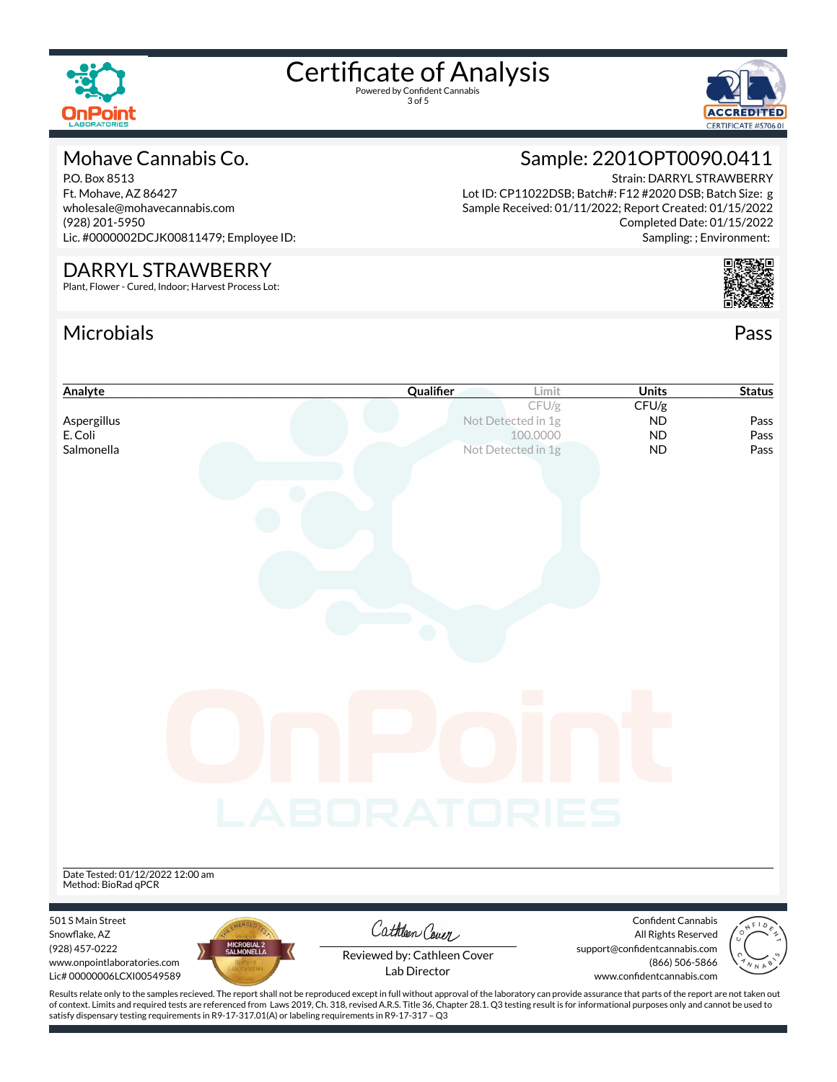

3 of 5



#### Mohave Cannabis Co.

P.O. Box 8513 Ft. Mohave, AZ 86427 wholesale@mohavecannabis.com (928) 201-5950 Lic. #0000002DCJK00811479; Employee ID:

#### DARRYL STRAWBERRY

Plant, Flower - Cured, Indoor; Harvest Process Lot:

#### Microbials Pass



Strain: DARRYL STRAWBERRY Lot ID: CP11022DSB; Batch#: F12 #2020 DSB; Batch Size: g Sample Received: 01/11/2022; Report Created: 01/15/2022 Completed Date: 01/15/2022 Sampling: ; Environment:



| Analyte                                                                                                                                                                                            | Qualifier                                   | Limit                          | <b>Units</b>                                         | <b>Status</b> |
|----------------------------------------------------------------------------------------------------------------------------------------------------------------------------------------------------|---------------------------------------------|--------------------------------|------------------------------------------------------|---------------|
|                                                                                                                                                                                                    |                                             | CFU/g                          | CFU/g                                                |               |
| Aspergillus<br>E. Coli                                                                                                                                                                             |                                             | Not Detected in 1g<br>100.0000 | <b>ND</b><br><b>ND</b>                               | Pass<br>Pass  |
| Salmonella                                                                                                                                                                                         |                                             | Not Detected in 1g             | <b>ND</b>                                            | Pass          |
|                                                                                                                                                                                                    |                                             |                                |                                                      |               |
|                                                                                                                                                                                                    |                                             |                                |                                                      |               |
|                                                                                                                                                                                                    |                                             |                                |                                                      |               |
|                                                                                                                                                                                                    |                                             |                                |                                                      |               |
|                                                                                                                                                                                                    |                                             |                                |                                                      |               |
|                                                                                                                                                                                                    |                                             |                                |                                                      |               |
|                                                                                                                                                                                                    |                                             |                                |                                                      |               |
|                                                                                                                                                                                                    |                                             |                                |                                                      |               |
|                                                                                                                                                                                                    |                                             |                                |                                                      |               |
|                                                                                                                                                                                                    |                                             |                                |                                                      |               |
|                                                                                                                                                                                                    |                                             |                                |                                                      |               |
|                                                                                                                                                                                                    |                                             |                                |                                                      |               |
|                                                                                                                                                                                                    |                                             |                                |                                                      |               |
|                                                                                                                                                                                                    |                                             |                                |                                                      |               |
|                                                                                                                                                                                                    |                                             |                                |                                                      |               |
|                                                                                                                                                                                                    |                                             |                                |                                                      |               |
|                                                                                                                                                                                                    |                                             |                                |                                                      |               |
|                                                                                                                                                                                                    |                                             |                                |                                                      |               |
|                                                                                                                                                                                                    | LABORATORIES                                |                                |                                                      |               |
|                                                                                                                                                                                                    |                                             |                                |                                                      |               |
|                                                                                                                                                                                                    |                                             |                                |                                                      |               |
| Date Tested: 01/12/2022 12:00 am                                                                                                                                                                   |                                             |                                |                                                      |               |
| Method: BioRad qPCR                                                                                                                                                                                |                                             |                                |                                                      |               |
|                                                                                                                                                                                                    |                                             |                                |                                                      |               |
| 501 S Main Street                                                                                                                                                                                  | Cathleen Cover                              |                                | <b>Confident Cannabis</b>                            |               |
| Snowflake, AZ<br>MICROBIAL 2<br>SALMONELLA<br>(928) 457-0222                                                                                                                                       |                                             |                                | All Rights Reserved<br>support@confidentcannabis.com |               |
| www.onpointlaboratories.com                                                                                                                                                                        | Reviewed by: Cathleen Cover<br>Lab Director |                                | (866) 506-5866                                       |               |
| Lic# 00000006LCXI00549589                                                                                                                                                                          |                                             |                                | www.confidentcannabis.com                            |               |
| Results relate only to the samples recieved. The report shall not be reproduced except in full without approval of the laboratory can provide assurance that parts of the report are not taken out |                                             |                                |                                                      |               |

Results relate only to the samples recieved. The report shall not be reproduced except in full without approval of the laboratory can provide assurance that parts of the report are not taken out of context. Limits and required tests are referenced from Laws 2019, Ch. 318, revised A.R.S. Title 36, Chapter 28.1. Q3 testing result is for informational purposes only and cannot be used to satisfy dispensary testing requirements in R9-17-317.01(A) or labeling requirements in R9-17-317 – Q3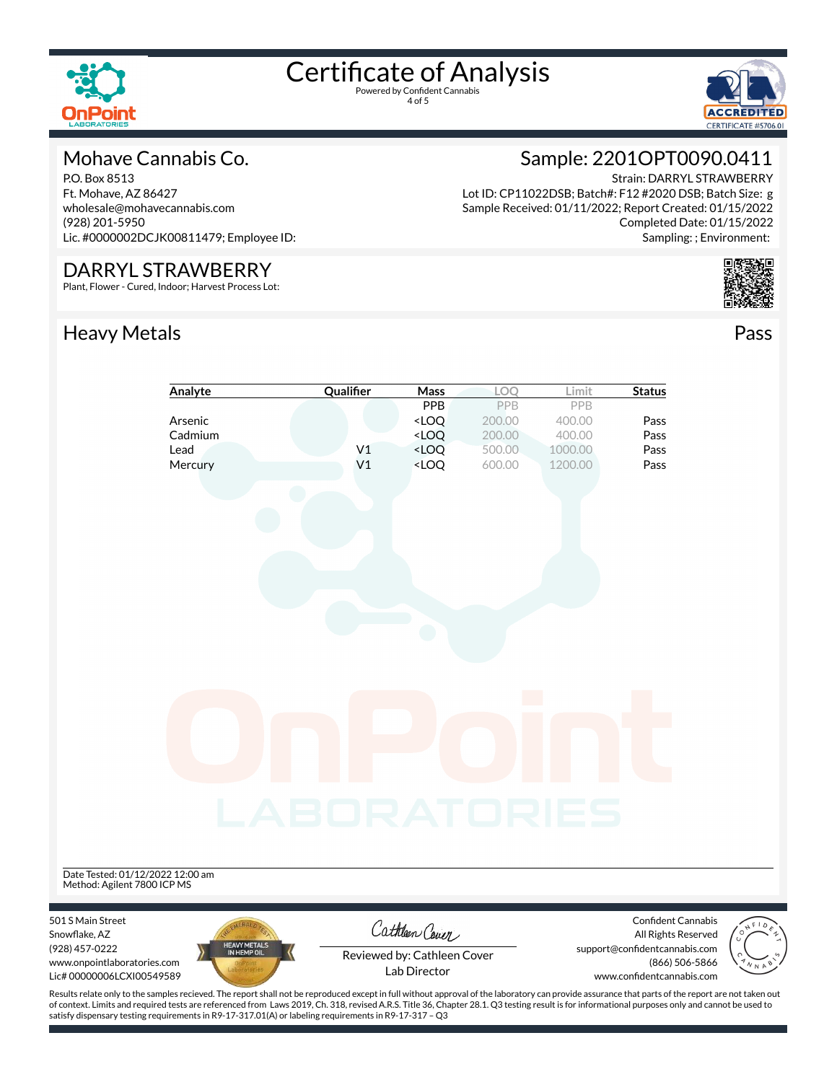

4 of 5



#### Mohave Cannabis Co.

P.O. Box 8513 Ft. Mohave, AZ 86427 wholesale@mohavecannabis.com (928) 201-5950 Lic. #0000002DCJK00811479; Employee ID:

#### DARRYL STRAWBERRY

Plant, Flower - Cured, Indoor; Harvest Process Lot:

### Heavy Metals **Pass**

### Sample: 2201OPT0090.0411

Strain: DARRYL STRAWBERRY Lot ID: CP11022DSB; Batch#: F12 #2020 DSB; Batch Size: g Sample Received: 01/11/2022; Report Created: 01/15/2022 Completed Date: 01/15/2022 Sampling: ; Environment:



|                                  | Analyte                                                                                                                                                                                            | Qualifier           | Mass                                                                     | LOQ    | Limit   | <b>Status</b>                 |       |
|----------------------------------|----------------------------------------------------------------------------------------------------------------------------------------------------------------------------------------------------|---------------------|--------------------------------------------------------------------------|--------|---------|-------------------------------|-------|
|                                  |                                                                                                                                                                                                    |                     | PPB                                                                      | PPB    | PPB     |                               |       |
|                                  | Arsenic                                                                                                                                                                                            |                     | <loq< th=""><th>200.00</th><th>400.00</th><th>Pass</th><th></th></loq<>  | 200.00 | 400.00  | Pass                          |       |
|                                  | Cadmium                                                                                                                                                                                            |                     | <loq< th=""><th>200.00</th><th>400.00</th><th>Pass</th><th></th></loq<>  | 200.00 | 400.00  | Pass                          |       |
|                                  | Lead                                                                                                                                                                                               | V <sub>1</sub>      | <loq< th=""><th>500.00</th><th>1000.00</th><th>Pass</th><th></th></loq<> | 500.00 | 1000.00 | Pass                          |       |
|                                  | Mercury                                                                                                                                                                                            | V <sub>1</sub>      | <loq< th=""><th>600.00</th><th>1200.00</th><th>Pass</th><th></th></loq<> | 600.00 | 1200.00 | Pass                          |       |
|                                  |                                                                                                                                                                                                    |                     |                                                                          |        |         |                               |       |
|                                  |                                                                                                                                                                                                    |                     |                                                                          |        |         |                               |       |
|                                  |                                                                                                                                                                                                    |                     |                                                                          |        |         |                               |       |
|                                  |                                                                                                                                                                                                    |                     |                                                                          |        |         |                               |       |
|                                  |                                                                                                                                                                                                    |                     |                                                                          |        |         |                               |       |
|                                  |                                                                                                                                                                                                    |                     |                                                                          |        |         |                               |       |
|                                  |                                                                                                                                                                                                    |                     |                                                                          |        |         |                               |       |
|                                  |                                                                                                                                                                                                    |                     |                                                                          |        |         |                               |       |
|                                  |                                                                                                                                                                                                    |                     |                                                                          |        |         |                               |       |
|                                  |                                                                                                                                                                                                    |                     |                                                                          |        |         |                               |       |
|                                  |                                                                                                                                                                                                    |                     |                                                                          |        |         |                               |       |
|                                  |                                                                                                                                                                                                    |                     |                                                                          |        |         |                               |       |
|                                  |                                                                                                                                                                                                    |                     |                                                                          |        |         |                               |       |
|                                  |                                                                                                                                                                                                    |                     |                                                                          |        |         |                               |       |
|                                  |                                                                                                                                                                                                    |                     |                                                                          |        |         |                               |       |
|                                  |                                                                                                                                                                                                    |                     |                                                                          |        |         |                               |       |
|                                  |                                                                                                                                                                                                    |                     |                                                                          |        |         |                               |       |
|                                  |                                                                                                                                                                                                    |                     |                                                                          |        |         |                               |       |
|                                  |                                                                                                                                                                                                    |                     |                                                                          |        |         |                               |       |
|                                  |                                                                                                                                                                                                    |                     |                                                                          |        |         |                               |       |
|                                  |                                                                                                                                                                                                    |                     |                                                                          |        |         |                               |       |
|                                  |                                                                                                                                                                                                    | <b>LABORATORIES</b> |                                                                          |        |         |                               |       |
|                                  |                                                                                                                                                                                                    |                     |                                                                          |        |         |                               |       |
|                                  |                                                                                                                                                                                                    |                     |                                                                          |        |         |                               |       |
|                                  |                                                                                                                                                                                                    |                     |                                                                          |        |         |                               |       |
| Date Tested: 01/12/2022 12:00 am |                                                                                                                                                                                                    |                     |                                                                          |        |         |                               |       |
| Method: Agilent 7800 ICP MS      |                                                                                                                                                                                                    |                     |                                                                          |        |         |                               |       |
|                                  |                                                                                                                                                                                                    |                     |                                                                          |        |         |                               |       |
| 501 S Main Street                |                                                                                                                                                                                                    |                     |                                                                          |        |         | Confident Cannabis            |       |
| Snowflake, AZ                    |                                                                                                                                                                                                    |                     | Cathleen Cover                                                           |        |         | All Rights Reserved           |       |
| (928) 457-0222                   | HEAVY METALS<br>IN HEMP OIL                                                                                                                                                                        |                     | Reviewed by: Cathleen Cover                                              |        |         | support@confidentcannabis.com |       |
| www.onpointlaboratories.com      |                                                                                                                                                                                                    |                     | Lab Director                                                             |        |         | (866) 506-5866                | N N A |
| Lic# 00000006LCXI00549589        |                                                                                                                                                                                                    |                     |                                                                          |        |         | www.confidentcannabis.com     |       |
|                                  | Results relate only to the samples recieved. The report shall not be reproduced except in full without approval of the laboratory can provide assurance that parts of the report are not taken out |                     |                                                                          |        |         |                               |       |

of context. Limits and required tests are referenced from Laws 2019, Ch. 318, revised A.R.S. Title 36, Chapter 28.1. Q3 testing result is for informational purposes only and cannot be used to satisfy dispensary testing requirements in R9-17-317.01(A) or labeling requirements in R9-17-317 – Q3